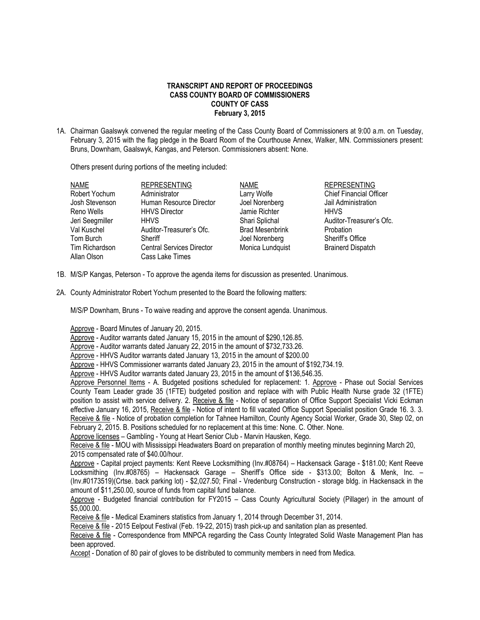## **TRANSCRIPT AND REPORT OF PROCEEDINGS CASS COUNTY BOARD OF COMMISSIONERS COUNTY OF CASS February 3, 2015**

1A. Chairman Gaalswyk convened the regular meeting of the Cass County Board of Commissioners at 9:00 a.m. on Tuesday, February 3, 2015 with the flag pledge in the Board Room of the Courthouse Annex, Walker, MN. Commissioners present: Bruns, Downham, Gaalswyk, Kangas, and Peterson. Commissioners absent: None.

Others present during portions of the meeting included:

| <b>NAME</b>     | <b>REPRESENTING</b>              | <b>NAME</b>            | <b>REPRESENTING</b>            |
|-----------------|----------------------------------|------------------------|--------------------------------|
| Robert Yochum   | Administrator                    | Larry Wolfe            | <b>Chief Financial Officer</b> |
| Josh Stevenson  | Human Resource Director          | Joel Norenberg         | Jail Administration            |
| Reno Wells      | <b>HHVS Director</b>             | Jamie Richter          | <b>HHVS</b>                    |
| Jeri Seegmiller | <b>HHVS</b>                      | Shari Splichal         | Auditor-Treasurer's Ofc.       |
| Val Kuschel     | Auditor-Treasurer's Ofc.         | <b>Brad Mesenbrink</b> | Probation                      |
| Tom Burch       | Sheriff                          | Joel Norenberg         | Sheriff's Office               |
| Tim Richardson  | <b>Central Services Director</b> | Monica Lundquist       | <b>Brainerd Dispatch</b>       |
| Allan Olson     | Cass Lake Times                  |                        |                                |
|                 |                                  |                        |                                |

- 1B. M/S/P Kangas, Peterson To approve the agenda items for discussion as presented. Unanimous.
- 2A. County Administrator Robert Yochum presented to the Board the following matters:

M/S/P Downham, Bruns - To waive reading and approve the consent agenda. Unanimous.

Approve - Board Minutes of January 20, 2015.

Approve - Auditor warrants dated January 15, 2015 in the amount of \$290,126.85.

Approve - Auditor warrants dated January 22, 2015 in the amount of \$732,733.26.

Approve - HHVS Auditor warrants dated January 13, 2015 in the amount of \$200.00

Approve - HHVS Commissioner warrants dated January 23, 2015 in the amount of \$192,734.19.

Approve - HHVS Auditor warrants dated January 23, 2015 in the amount of \$136,546.35.

Approve Personnel Items - A. Budgeted positions scheduled for replacement: 1. Approve - Phase out Social Services County Team Leader grade 35 (1FTE) budgeted position and replace with with Public Health Nurse grade 32 (1FTE) position to assist with service delivery. 2. Receive & file - Notice of separation of Office Support Specialist Vicki Eckman effective January 16, 2015, Receive & file - Notice of intent to fill vacated Office Support Specialist position Grade 16. 3. 3. Receive & file - Notice of probation completion for Tahnee Hamilton, County Agency Social Worker, Grade 30, Step 02, on February 2, 2015. B. Positions scheduled for no replacement at this time: None. C. Other. None.

Approve licenses – Gambling - Young at Heart Senior Club - Marvin Hausken, Kego.

Receive & file - MOU with Mississippi Headwaters Board on preparation of monthly meeting minutes beginning March 20, 2015 compensated rate of \$40.00/hour.

Approve - Capital project payments: Kent Reeve Locksmithing (Inv.#08764) – Hackensack Garage - \$181.00; Kent Reeve Locksmithing (Inv.#08765) – Hackensack Garage – Sheriff's Office side - \$313.00; Bolton & Menk, Inc. – (Inv.#0173519)(Crtse. back parking lot) - \$2,027.50; Final - Vredenburg Construction - storage bldg. in Hackensack in the amount of \$11,250.00, source of funds from capital fund balance.

Approve - Budgeted financial contribution for FY2015 – Cass County Agricultural Society (Pillager) in the amount of \$5,000.00.

Receive & file - Medical Examiners statistics from January 1, 2014 through December 31, 2014.

Receive & file - 2015 Eelpout Festival (Feb. 19-22, 2015) trash pick-up and sanitation plan as presented.

Receive & file - Correspondence from MNPCA regarding the Cass County Integrated Solid Waste Management Plan has been approved.

Accept - Donation of 80 pair of gloves to be distributed to community members in need from Medica.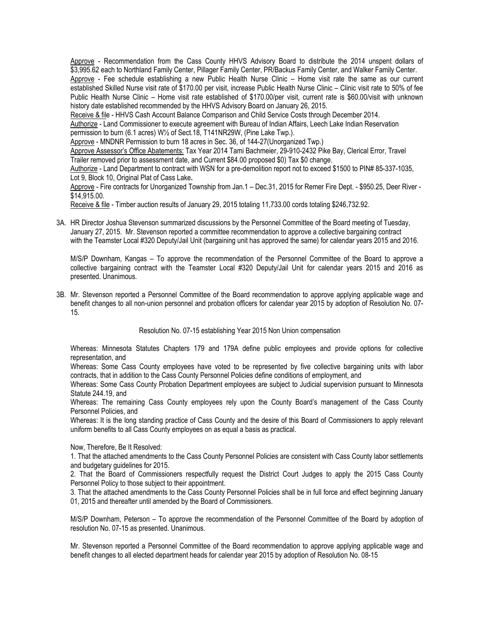Approve - Recommendation from the Cass County HHVS Advisory Board to distribute the 2014 unspent dollars of \$3,995.62 each to Northland Family Center, Pillager Family Center, PR/Backus Family Center, and Walker Family Center. Approve - Fee schedule establishing a new Public Health Nurse Clinic – Home visit rate the same as our current established Skilled Nurse visit rate of \$170.00 per visit, increase Public Health Nurse Clinic – Clinic visit rate to 50% of fee Public Health Nurse Clinic – Home visit rate established of \$170.00/per visit, current rate is \$60.00/visit with unknown history date established recommended by the HHVS Advisory Board on January 26, 2015.

Receive & file - HHVS Cash Account Balance Comparison and Child Service Costs through December 2014.

Authorize - Land Commissioner to execute agreement with Bureau of Indian Affairs, Leech Lake Indian Reservation permission to burn (6.1 acres) W½ of Sect.18, T141NR29W, (Pine Lake Twp.).

Approve - MNDNR Permission to burn 18 acres in Sec. 36, of 144-27(Unorganized Twp.)

Approve Assessor's Office Abatements: Tax Year 2014 Tami Bachmeier, 29-910-2432 Pike Bay, Clerical Error, Travel Trailer removed prior to assessment date, and Current \$84.00 proposed \$0) Tax \$0 change.

Authorize - Land Department to contract with WSN for a pre-demolition report not to exceed \$1500 to PIN# 85-337-1035, Lot 9, Block 10, Original Plat of Cass Lake**.**

Approve - Fire contracts for Unorganized Township from Jan.1 – Dec.31, 2015 for Remer Fire Dept. - \$950.25, Deer River - \$14,915.00.

Receive & file - Timber auction results of January 29, 2015 totaling 11,733.00 cords totaling \$246,732.92.

3A. HR Director Joshua Stevenson summarized discussions by the Personnel Committee of the Board meeting of Tuesday, January 27, 2015. Mr. Stevenson reported a committee recommendation to approve a collective bargaining contract with the Teamster Local #320 Deputy/Jail Unit (bargaining unit has approved the same) for calendar years 2015 and 2016.

M/S/P Downham, Kangas – To approve the recommendation of the Personnel Committee of the Board to approve a collective bargaining contract with the Teamster Local #320 Deputy/Jail Unit for calendar years 2015 and 2016 as presented. Unanimous.

3B. Mr. Stevenson reported a Personnel Committee of the Board recommendation to approve applying applicable wage and benefit changes to all non-union personnel and probation officers for calendar year 2015 by adoption of Resolution No. 07- 15.

Resolution No. 07-15 establishing Year 2015 Non Union compensation

Whereas: Minnesota Statutes Chapters 179 and 179A define public employees and provide options for collective representation, and

Whereas: Some Cass County employees have voted to be represented by five collective bargaining units with labor contracts, that in addition to the Cass County Personnel Policies define conditions of employment, and

Whereas: Some Cass County Probation Department employees are subject to Judicial supervision pursuant to Minnesota Statute 244.19, and

Whereas: The remaining Cass County employees rely upon the County Board's management of the Cass County Personnel Policies, and

Whereas: It is the long standing practice of Cass County and the desire of this Board of Commissioners to apply relevant uniform benefits to all Cass County employees on as equal a basis as practical.

Now, Therefore, Be It Resolved:

1. That the attached amendments to the Cass County Personnel Policies are consistent with Cass County labor settlements and budgetary guidelines for 2015.

2. That the Board of Commissioners respectfully request the District Court Judges to apply the 2015 Cass County Personnel Policy to those subject to their appointment.

3. That the attached amendments to the Cass County Personnel Policies shall be in full force and effect beginning January 01, 2015 and thereafter until amended by the Board of Commissioners.

M/S/P Downham, Peterson – To approve the recommendation of the Personnel Committee of the Board by adoption of resolution No. 07-15 as presented. Unanimous.

Mr. Stevenson reported a Personnel Committee of the Board recommendation to approve applying applicable wage and benefit changes to all elected department heads for calendar year 2015 by adoption of Resolution No. 08-15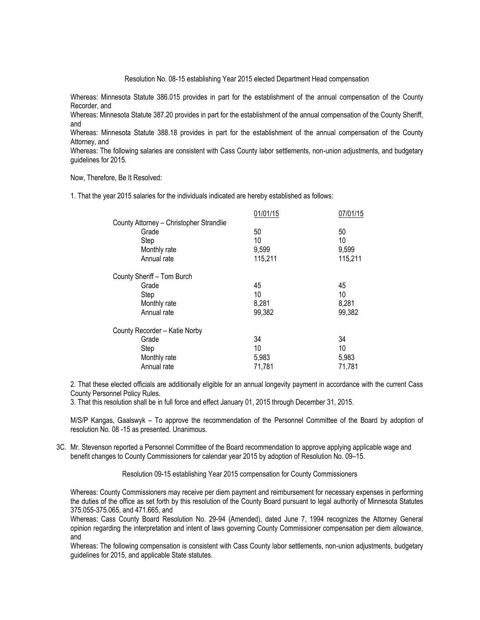Resolution No. 08-15 establishing Year 2015 elected Department Head compensation

Whereas: Minnesota Statute 386.015 provides in part for the establishment of the annual compensation of the County Recorder, and

Whereas: Minnesota Statute 387.20 provides in part for the establishment of the annual compensation of the County Sheriff, and

Whereas: Minnesota Statute 388.18 provides in part for the establishment of the annual compensation of the County Attorney, and

Whereas: The following salaries are consistent with Cass County labor settlements, non-union adjustments, and budgetary guidelines for 2015.

Now, Therefore, Be It Resolved:

1. That the year 2015 salaries for the individuals indicated are hereby established as follows:

| 07/01/15 |
|----------|
|          |
| 50       |
| 10       |
| 9,599    |
| 115,211  |
|          |
| 45       |
| 10       |
| 8,281    |
| 99,382   |
|          |
| 34       |
| 10       |
| 5,983    |
| 71,781   |
|          |

2. That these elected officials are additionally eligible for an annual longevity payment in accordance with the current Cass County Personnel Policy Rules.

3. That this resolution shall be in full force and effect January 01, 2015 through December 31, 2015.

M/S/P Kangas, Gaalswyk – To approve the recommendation of the Personnel Committee of the Board by adoption of resolution No. 08 -15 as presented. Unanimous.

3C. Mr. Stevenson reported a Personnel Committee of the Board recommendation to approve applying applicable wage and benefit changes to County Commissioners for calendar year 2015 by adoption of Resolution No. 09–15.

Resolution 09-15 establishing Year 2015 compensation for County Commissioners

Whereas: County Commissioners may receive per diem payment and reimbursement for necessary expenses in performing the duties of the office as set forth by this resolution of the County Board pursuant to legal authority of Minnesota Statutes 375.055-375.065, and 471.665, and

Whereas: Cass County Board Resolution No. 29-94 (Amended), dated June 7, 1994 recognizes the Attorney General opinion regarding the interpretation and intent of laws governing County Commissioner compensation per diem allowance, and

Whereas: The following compensation is consistent with Cass County labor settlements, non-union adjustments, budgetary guidelines for 2015, and applicable State statutes.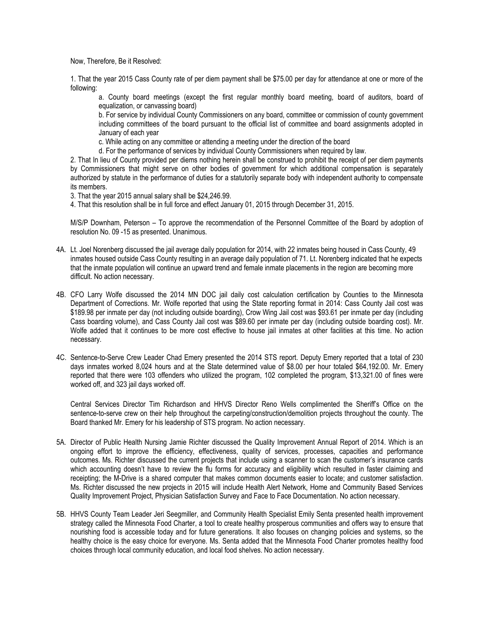Now, Therefore, Be it Resolved:

1. That the year 2015 Cass County rate of per diem payment shall be \$75.00 per day for attendance at one or more of the following:

a. County board meetings (except the first regular monthly board meeting, board of auditors, board of equalization, or canvassing board)

b. For service by individual County Commissioners on any board, committee or commission of county government including committees of the board pursuant to the official list of committee and board assignments adopted in January of each year

c. While acting on any committee or attending a meeting under the direction of the board

d. For the performance of services by individual County Commissioners when required by law.

2. That In lieu of County provided per diems nothing herein shall be construed to prohibit the receipt of per diem payments by Commissioners that might serve on other bodies of government for which additional compensation is separately authorized by statute in the performance of duties for a statutorily separate body with independent authority to compensate its members.

3. That the year 2015 annual salary shall be \$24,246.99.

4. That this resolution shall be in full force and effect January 01, 2015 through December 31, 2015.

M/S/P Downham, Peterson – To approve the recommendation of the Personnel Committee of the Board by adoption of resolution No. 09 -15 as presented. Unanimous.

- 4A. Lt. Joel Norenberg discussed the jail average daily population for 2014, with 22 inmates being housed in Cass County, 49 inmates housed outside Cass County resulting in an average daily population of 71. Lt. Norenberg indicated that he expects that the inmate population will continue an upward trend and female inmate placements in the region are becoming more difficult. No action necessary.
- 4B. CFO Larry Wolfe discussed the 2014 MN DOC jail daily cost calculation certification by Counties to the Minnesota Department of Corrections. Mr. Wolfe reported that using the State reporting format in 2014: Cass County Jail cost was \$189.98 per inmate per day (not including outside boarding), Crow Wing Jail cost was \$93.61 per inmate per day (including Cass boarding volume), and Cass County Jail cost was \$89.60 per inmate per day (including outside boarding cost). Mr. Wolfe added that it continues to be more cost effective to house jail inmates at other facilities at this time. No action necessary.
- 4C. Sentence-to-Serve Crew Leader Chad Emery presented the 2014 STS report. Deputy Emery reported that a total of 230 days inmates worked 8,024 hours and at the State determined value of \$8.00 per hour totaled \$64,192.00. Mr. Emery reported that there were 103 offenders who utilized the program, 102 completed the program, \$13,321.00 of fines were worked off, and 323 jail days worked off.

Central Services Director Tim Richardson and HHVS Director Reno Wells complimented the Sheriff's Office on the sentence-to-serve crew on their help throughout the carpeting/construction/demolition projects throughout the county. The Board thanked Mr. Emery for his leadership of STS program. No action necessary.

- 5A. Director of Public Health Nursing Jamie Richter discussed the Quality Improvement Annual Report of 2014. Which is an ongoing effort to improve the efficiency, effectiveness, quality of services, processes, capacities and performance outcomes. Ms. Richter discussed the current projects that include using a scanner to scan the customer's insurance cards which accounting doesn't have to review the flu forms for accuracy and eligibility which resulted in faster claiming and receipting; the M-Drive is a shared computer that makes common documents easier to locate; and customer satisfaction. Ms. Richter discussed the new projects in 2015 will include Health Alert Network, Home and Community Based Services Quality Improvement Project, Physician Satisfaction Survey and Face to Face Documentation. No action necessary.
- 5B. HHVS County Team Leader Jeri Seegmiller, and Community Health Specialist Emily Senta presented health improvement strategy called the Minnesota Food Charter, a tool to create healthy prosperous communities and offers way to ensure that nourishing food is accessible today and for future generations. It also focuses on changing policies and systems, so the healthy choice is the easy choice for everyone. Ms. Senta added that the Minnesota Food Charter promotes healthy food choices through local community education, and local food shelves. No action necessary.